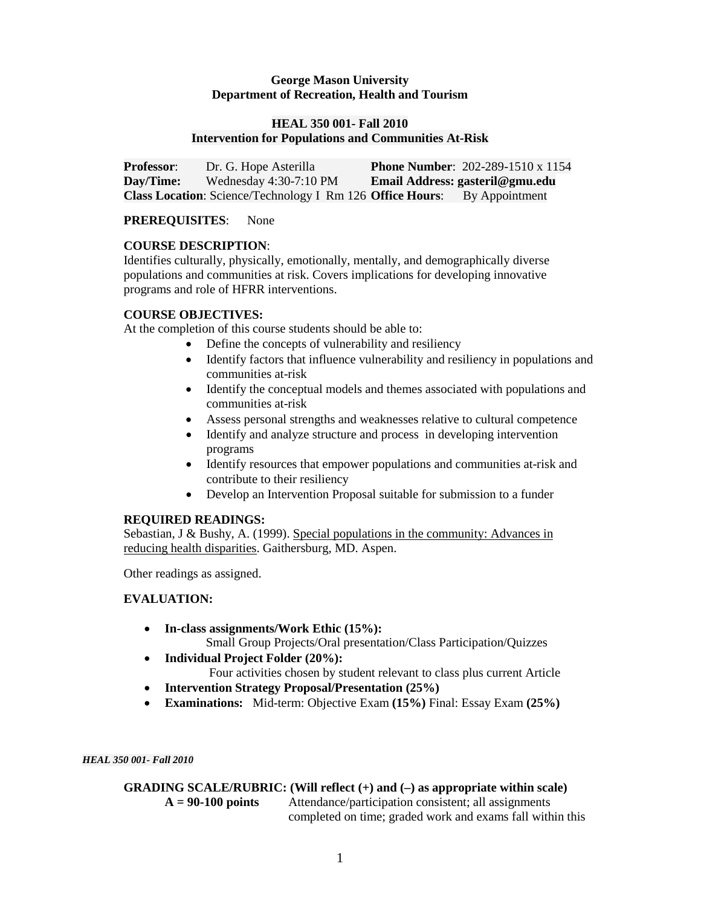## **George Mason University Department of Recreation, Health and Tourism**

## **HEAL 350 001- Fall 2010 Intervention for Populations and Communities At-Risk**

**Professor:** Dr. G. Hope Asterilla **Phone Number**: 202-289-1510 x 1154<br>**Dav/Time:** Wednesday 4:30-7:10 PM **Email Address: gasteril@gmu.edu Day/Time:** Wednesday 4:30-7:10 PM **Email Address: gasteril@gmu.edu Class Location**: Science/Technology I Rm 126 **Office Hours**: By Appointment

## **PREREQUISITES**: None

## **COURSE DESCRIPTION**:

Identifies culturally, physically, emotionally, mentally, and demographically diverse populations and communities at risk. Covers implications for developing innovative programs and role of HFRR interventions.

## **COURSE OBJECTIVES:**

At the completion of this course students should be able to:

- Define the concepts of vulnerability and resiliency
- Identify factors that influence vulnerability and resiliency in populations and communities at-risk
- Identify the conceptual models and themes associated with populations and communities at-risk
- Assess personal strengths and weaknesses relative to cultural competence
- Identify and analyze structure and process in developing intervention programs
- Identify resources that empower populations and communities at-risk and contribute to their resiliency
- Develop an Intervention Proposal suitable for submission to a funder

#### **REQUIRED READINGS:**

Sebastian, J & Bushy, A. (1999). Special populations in the community: Advances in reducing health disparities. Gaithersburg, MD. Aspen.

Other readings as assigned.

# **EVALUATION:**

- **In-class assignments/Work Ethic (15%):** Small Group Projects/Oral presentation/Class Participation/Quizzes
- **Individual Project Folder (20%):**
	- Four activities chosen by student relevant to class plus current Article
- **Intervention Strategy Proposal/Presentation (25%)**
- **Examinations:** Mid-term: Objective Exam **(15%)** Final: Essay Exam **(25%)**

*HEAL 350 001- Fall 2010*

# **GRADING SCALE/RUBRIC: (Will reflect (+) and (–) as appropriate within scale)**

**A = 90-100 points** Attendance/participation consistent; all assignments completed on time; graded work and exams fall within this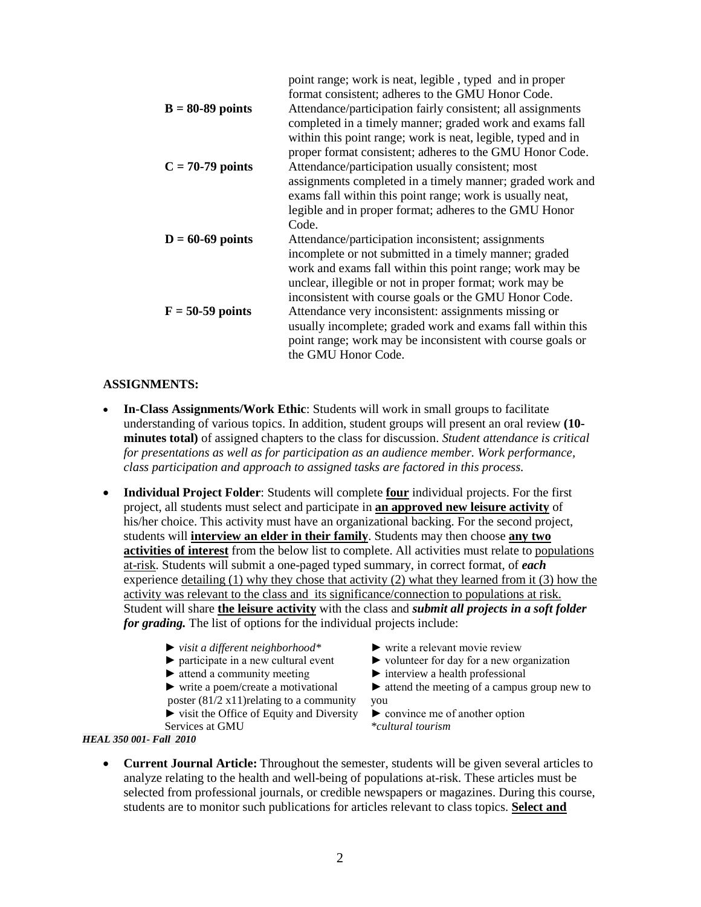| point range; work is neat, legible, typed and in proper      |
|--------------------------------------------------------------|
| format consistent; adheres to the GMU Honor Code.            |
| Attendance/participation fairly consistent; all assignments  |
| completed in a timely manner; graded work and exams fall     |
| within this point range; work is neat, legible, typed and in |
| proper format consistent; adheres to the GMU Honor Code.     |
| Attendance/participation usually consistent; most            |
| assignments completed in a timely manner; graded work and    |
| exams fall within this point range; work is usually neat,    |
| legible and in proper format; adheres to the GMU Honor       |
| Code.                                                        |
| Attendance/participation inconsistent; assignments           |
| incomplete or not submitted in a timely manner; graded       |
| work and exams fall within this point range; work may be     |
| unclear, illegible or not in proper format; work may be      |
| inconsistent with course goals or the GMU Honor Code.        |
| Attendance very inconsistent: assignments missing or         |
| usually incomplete; graded work and exams fall within this   |
| point range; work may be inconsistent with course goals or   |
| the GMU Honor Code.                                          |
|                                                              |

#### **ASSIGNMENTS:**

- **In-Class Assignments/Work Ethic**: Students will work in small groups to facilitate understanding of various topics. In addition, student groups will present an oral review **(10 minutes total)** of assigned chapters to the class for discussion. *Student attendance is critical for presentations as well as for participation as an audience member. Work performance, class participation and approach to assigned tasks are factored in this process.*
- **Individual Project Folder**: Students will complete **four** individual projects. For the first project, all students must select and participate in **an approved new leisure activity** of his/her choice. This activity must have an organizational backing. For the second project, students will **interview an elder in their family**. Students may then choose **any two activities of interest** from the below list to complete. All activities must relate to populations at-risk. Students will submit a one-paged typed summary, in correct format, of *each* experience detailing (1) why they chose that activity (2) what they learned from it (3) how the activity was relevant to the class and its significance/connection to populations at risk. Student will share **the leisure activity** with the class and *submit all projects in a soft folder for grading.* The list of options for the individual projects include:
	-
	- ► *visit a different neighborhood*\* ► write a relevant movie review ► participate in a new cultural event ► volunteer for day for a new or
	-
	- ► attend a community meeting ► interview a health professional ► write a poem/create a motivational ► attend the meeting of a campus poster  $(81/2 \times 11)$  relating to a community you
	-

Services at GMU

*HEAL 350 001- Fall 2010*

- 
- $\blacktriangleright$  volunteer for day for a new organization
- 
- $\blacktriangleright$  attend the meeting of a campus group new to

 $\triangleright$  visit the Office of Equity and Diversity  $\triangleright$  convince me of another option<br>Services at GMU

• **Current Journal Article:** Throughout the semester, students will be given several articles to analyze relating to the health and well-being of populations at-risk. These articles must be selected from professional journals, or credible newspapers or magazines. During this course, students are to monitor such publications for articles relevant to class topics. **Select and**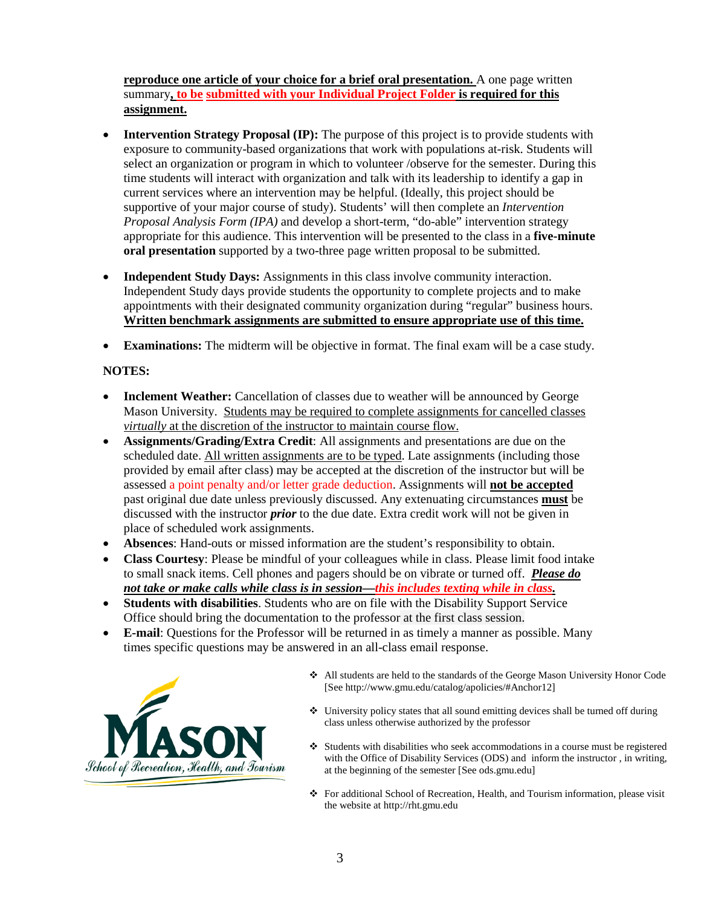**reproduce one article of your choice for a brief oral presentation.** A one page written summary**, to be submitted with your Individual Project Folder is required for this assignment.**

- **Intervention Strategy Proposal (IP):** The purpose of this project is to provide students with exposure to community-based organizations that work with populations at-risk. Students will select an organization or program in which to volunteer /observe for the semester. During this time students will interact with organization and talk with its leadership to identify a gap in current services where an intervention may be helpful. (Ideally, this project should be supportive of your major course of study). Students' will then complete an *Intervention Proposal Analysis Form (IPA)* and develop a short-term, "do-able" intervention strategy appropriate for this audience. This intervention will be presented to the class in a **five-minute oral presentation** supported by a two-three page written proposal to be submitted.
- **Independent Study Days:** Assignments in this class involve community interaction. Independent Study days provide students the opportunity to complete projects and to make appointments with their designated community organization during "regular" business hours. **Written benchmark assignments are submitted to ensure appropriate use of this time.**
- **Examinations:** The midterm will be objective in format. The final exam will be a case study.

# **NOTES:**

- Inclement Weather: Cancellation of classes due to weather will be announced by George Mason University. Students may be required to complete assignments for cancelled classes *virtually* at the discretion of the instructor to maintain course flow.
- **Assignments/Grading/Extra Credit**: All assignments and presentations are due on the scheduled date. All written assignments are to be typed. Late assignments (including those provided by email after class) may be accepted at the discretion of the instructor but will be assessed a point penalty and/or letter grade deduction. Assignments will **not be accepted** past original due date unless previously discussed. Any extenuating circumstances **must** be discussed with the instructor *prior* to the due date. Extra credit work will not be given in place of scheduled work assignments.
- **Absences**: Hand-outs or missed information are the student's responsibility to obtain.
- **Class Courtesy**: Please be mindful of your colleagues while in class. Please limit food intake to small snack items. Cell phones and pagers should be on vibrate or turned off. *Please do not take or make calls while class is in session—this includes texting while in class.*
- **Students with disabilities**. Students who are on file with the Disability Support Service Office should bring the documentation to the professor at the first class session.
- **E-mail**: Questions for the Professor will be returned in as timely a manner as possible. Many times specific questions may be answered in an all-class email response.



- All students are held to the standards of the George Mason University Honor Code [See http://www.gmu.edu/catalog/apolicies/#Anchor12]
- University policy states that all sound emitting devices shall be turned off during class unless otherwise authorized by the professor
- $\div$  Students with disabilities who seek accommodations in a course must be registered with the Office of Disability Services (ODS) and inform the instructor , in writing, at the beginning of the semester [See ods.gmu.edu]
- For additional School of Recreation, Health, and Tourism information, please visit the website at http://rht.gmu.edu